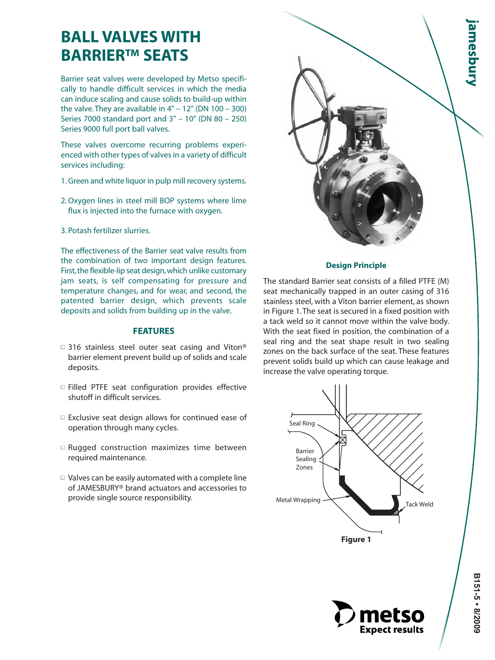# **BALL VALVES WITH BARRIER™ SEATS**

Barrier seat valves were developed by Metso specifically to handle difficult services in which the media can induce scaling and cause solids to build-up within the valve. They are available in  $4" - 12"$  (DN  $100 - 300$ ) Series 7000 standard port and 3" – 10" (DN 80 – 250) Series 9000 full port ball valves.

These valves overcome recurring problems experienced with other types of valves in a variety of difficult services including:

- 1. Green and white liquor in pulp mill recovery systems.
- 2. Oxygen lines in steel mill BOP systems where lime flux is injected into the furnace with oxygen.
- 3. Potash fertilizer slurries.

The effectiveness of the Barrier seat valve results from the combination of two important design features. First, the flexible-lip seat design, which unlike customary jam seats, is self compensating for pressure and temperature changes, and for wear, and second, the patented barrier design, which prevents scale deposits and solids from building up in the valve.

## **FEATURES**

- $\Box$  316 stainless steel outer seat casing and Viton® barrier element prevent build up of solids and scale deposits.
- □ Filled PTFE seat configuration provides effective shutoff in difficult services.
- $\Box$  Exclusive seat design allows for continued ease of operation through many cycles.
- $\square$  Rugged construction maximizes time between required maintenance.
- $\Box$  Valves can be easily automated with a complete line of JAMESBURY® brand actuators and accessories to provide single source responsibility.



### **Design Principle**

The standard Barrier seat consists of a filled PTFE (M) seat mechanically trapped in an outer casing of 316 stainless steel, with a Viton barrier element, as shown in Figure 1. The seat is secured in a fixed position with a tack weld so it cannot move within the valve body. With the seat fixed in position, the combination of a seal ring and the seat shape result in two sealing zones on the back surface of the seat. These features prevent solids build up which can cause leakage and increase the valve operating torque.